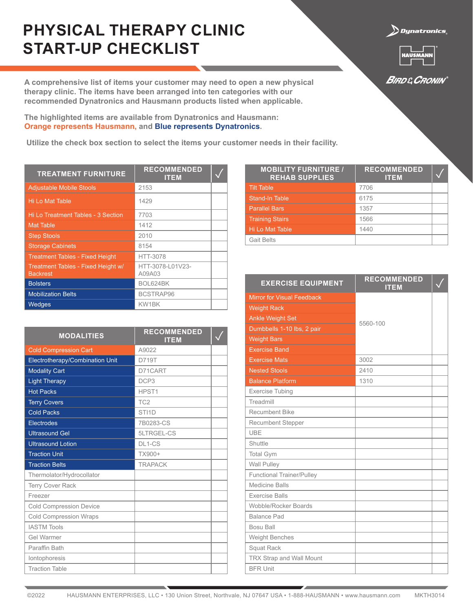## **PHYSICAL THERAPY CLINIC START-UP CHECKLIST**

**A comprehensive list of items your customer may need to open a new physical therapy clinic. The items have been arranged into ten categories with our recommended Dynatronics and Hausmann products listed when applicable.**

**The highlighted items are available from Dynatronics and Hausmann: Orange represents Hausmann, and Blue represents Dynatronics.**

 **Utilize the check box section to select the items your customer needs in their facility.**

| <b>TREATMENT FURNITURE</b>                            | <b>RECOMMENDED</b><br><b>ITEM</b> |  |
|-------------------------------------------------------|-----------------------------------|--|
| <b>Adjustable Mobile Stools</b>                       | 2153                              |  |
| Hi Lo Mat Table                                       | 1429                              |  |
| Hi Lo Treatment Tables - 3 Section                    | 7703                              |  |
| <b>Mat Table</b>                                      | 1412                              |  |
| <b>Step Stools</b>                                    | 2010                              |  |
| <b>Storage Cabinets</b>                               | 8154                              |  |
| <b>Treatment Tables - Fixed Height</b>                | <b>HTT-3078</b>                   |  |
| Treatment Tables - Fixed Height w/<br><b>Backrest</b> | HTT-3078-L01V23-<br>A09A03        |  |
| <b>Bolsters</b>                                       | BOL624BK                          |  |
| <b>Mobilization Belts</b>                             | BCSTRAP96                         |  |
| Wedges                                                | KW1BK                             |  |

| <b>MODALITIES</b>               | <b>RECOMMENDED</b><br><b>ITEM</b> |  |
|---------------------------------|-----------------------------------|--|
| <b>Cold Compression Cart</b>    | A9022                             |  |
| Electrotherapy/Combination Unit | D719T                             |  |
| <b>Modality Cart</b>            | D71CART                           |  |
| <b>Light Therapy</b>            | DCP <sub>3</sub>                  |  |
| <b>Hot Packs</b>                | HPST1                             |  |
| <b>Terry Covers</b>             | TC <sub>2</sub>                   |  |
| <b>Cold Packs</b>               | STI <sub>1</sub> D                |  |
| <b>Electrodes</b>               | 7B0283-CS                         |  |
| <b>Ultrasound Gel</b>           | 5LTRGEL-CS                        |  |
| <b>Ultrasound Lotion</b>        | DL1-CS                            |  |
| <b>Traction Unit</b>            | TX900+                            |  |
| <b>Traction Belts</b>           | <b>TRAPACK</b>                    |  |
| Thermolator/Hydrocollator       |                                   |  |
| <b>Terry Cover Rack</b>         |                                   |  |
| Freezer                         |                                   |  |
| <b>Cold Compression Device</b>  |                                   |  |
| <b>Cold Compression Wraps</b>   |                                   |  |
| <b>IASTM Tools</b>              |                                   |  |
| <b>Gel Warmer</b>               |                                   |  |
| Paraffin Bath                   |                                   |  |
| lontophoresis                   |                                   |  |
| <b>Traction Table</b>           |                                   |  |

| <b>MOBILITY FURNITURE /</b><br><b>REHAB SUPPLIES</b> | <b>RECOMMENDED</b><br><b>ITEM</b> |  |
|------------------------------------------------------|-----------------------------------|--|
| <b>Tilt Table</b>                                    | 7706                              |  |
| <b>Stand-In Table</b>                                | 6175                              |  |
| <b>Parallel Bars</b>                                 | 1357                              |  |
| <b>Training Stairs</b>                               | 1566                              |  |
| <b>Hi Lo Mat Table</b>                               | 1440                              |  |
| <b>Gait Belts</b>                                    |                                   |  |

| <b>EXERCISE EQUIPMENT</b>         | <b>RECOMMENDED</b><br><b>ITEM</b> |  |
|-----------------------------------|-----------------------------------|--|
| <b>Mirror for Visual Feedback</b> |                                   |  |
| <b>Weight Rack</b>                |                                   |  |
| <b>Ankle Weight Set</b>           | 5560-100                          |  |
| Dumbbells 1-10 lbs, 2 pair        |                                   |  |
| <b>Weight Bars</b>                |                                   |  |
| <b>Exercise Band</b>              |                                   |  |
| <b>Exercise Mats</b>              | 3002                              |  |
| <b>Nested Stools</b>              | 2410                              |  |
| <b>Balance Platform</b>           | 1310                              |  |
| <b>Exercise Tubing</b>            |                                   |  |
| Treadmill                         |                                   |  |
| Recumbent Bike                    |                                   |  |
| <b>Recumbent Stepper</b>          |                                   |  |
| UBE                               |                                   |  |
| Shuttle                           |                                   |  |
| <b>Total Gym</b>                  |                                   |  |
| Wall Pulley                       |                                   |  |
| <b>Functional Trainer/Pulley</b>  |                                   |  |
| <b>Medicine Balls</b>             |                                   |  |
| <b>Exercise Balls</b>             |                                   |  |
| Wobble/Rocker Boards              |                                   |  |
| <b>Balance Pad</b>                |                                   |  |
| Bosu Ball                         |                                   |  |
| Weight Benches                    |                                   |  |
| Squat Rack                        |                                   |  |
| TRX Strap and Wall Mount          |                                   |  |
| <b>BFR Unit</b>                   |                                   |  |



**BIRD & CRONIN** 

 $\sum$ Dynatronics